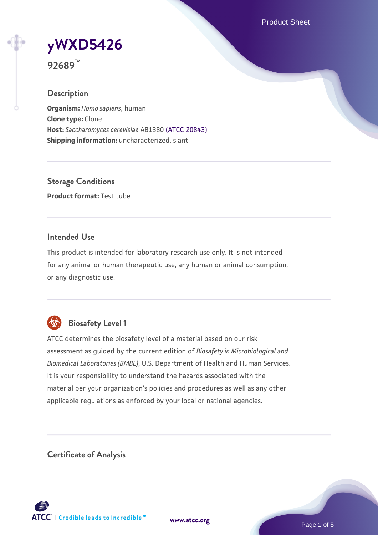Product Sheet

**[yWXD5426](https://www.atcc.org/products/92689)**

**92689™**

## **Description**

**Organism:** *Homo sapiens*, human **Clone type:** Clone **Host:** *Saccharomyces cerevisiae* AB1380 [\(ATCC 20843\)](https://www.atcc.org/products/20843) **Shipping information:** uncharacterized, slant

**Storage Conditions Product format:** Test tube

## **Intended Use**

This product is intended for laboratory research use only. It is not intended for any animal or human therapeutic use, any human or animal consumption, or any diagnostic use.



# **Biosafety Level 1**

ATCC determines the biosafety level of a material based on our risk assessment as guided by the current edition of *Biosafety in Microbiological and Biomedical Laboratories (BMBL)*, U.S. Department of Health and Human Services. It is your responsibility to understand the hazards associated with the material per your organization's policies and procedures as well as any other applicable regulations as enforced by your local or national agencies.

**Certificate of Analysis**

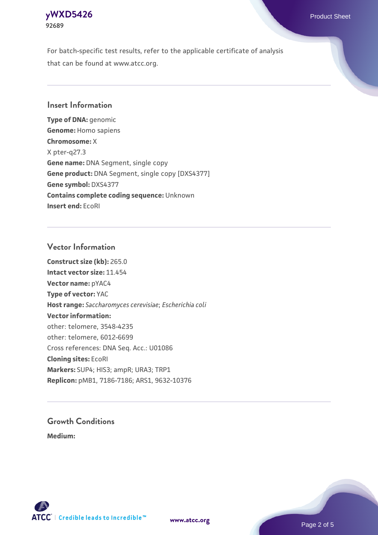### **[yWXD5426](https://www.atcc.org/products/92689)** Product Sheet **92689**

For batch-specific test results, refer to the applicable certificate of analysis that can be found at www.atcc.org.

## **Insert Information**

**Type of DNA:** genomic **Genome:** Homo sapiens **Chromosome:** X X pter-q27.3 **Gene name:** DNA Segment, single copy **Gene product:** DNA Segment, single copy [DXS4377] **Gene symbol:** DXS4377 **Contains complete coding sequence:** Unknown **Insert end:** EcoRI

## **Vector Information**

**Construct size (kb):** 265.0 **Intact vector size:** 11.454 **Vector name:** pYAC4 **Type of vector:** YAC **Host range:** *Saccharomyces cerevisiae*; *Escherichia coli* **Vector information:** other: telomere, 3548-4235 other: telomere, 6012-6699 Cross references: DNA Seq. Acc.: U01086 **Cloning sites:** EcoRI **Markers:** SUP4; HIS3; ampR; URA3; TRP1 **Replicon:** pMB1, 7186-7186; ARS1, 9632-10376

# **Growth Conditions**

**Medium:** 



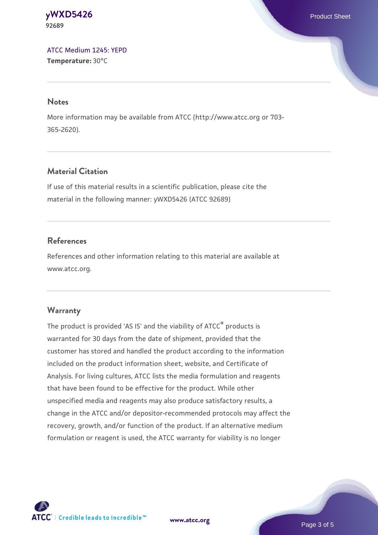#### **[yWXD5426](https://www.atcc.org/products/92689)** Product Sheet **92689**

[ATCC Medium 1245: YEPD](https://www.atcc.org/-/media/product-assets/documents/microbial-media-formulations/1/2/4/5/atcc-medium-1245.pdf?rev=705ca55d1b6f490a808a965d5c072196) **Temperature:** 30°C

#### **Notes**

More information may be available from ATCC (http://www.atcc.org or 703- 365-2620).

# **Material Citation**

If use of this material results in a scientific publication, please cite the material in the following manner: yWXD5426 (ATCC 92689)

# **References**

References and other information relating to this material are available at www.atcc.org.

# **Warranty**

The product is provided 'AS IS' and the viability of ATCC® products is warranted for 30 days from the date of shipment, provided that the customer has stored and handled the product according to the information included on the product information sheet, website, and Certificate of Analysis. For living cultures, ATCC lists the media formulation and reagents that have been found to be effective for the product. While other unspecified media and reagents may also produce satisfactory results, a change in the ATCC and/or depositor-recommended protocols may affect the recovery, growth, and/or function of the product. If an alternative medium formulation or reagent is used, the ATCC warranty for viability is no longer



**[www.atcc.org](http://www.atcc.org)**

Page 3 of 5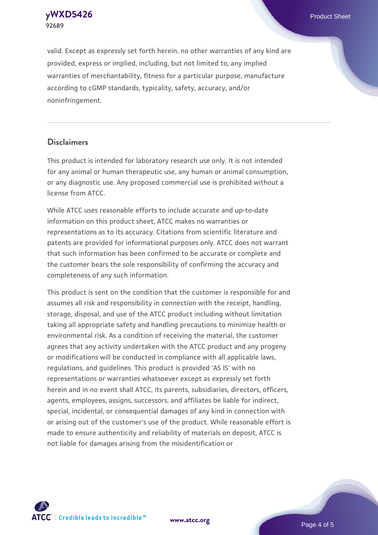**[yWXD5426](https://www.atcc.org/products/92689)** Product Sheet **92689**

valid. Except as expressly set forth herein, no other warranties of any kind are provided, express or implied, including, but not limited to, any implied warranties of merchantability, fitness for a particular purpose, manufacture according to cGMP standards, typicality, safety, accuracy, and/or noninfringement.

#### **Disclaimers**

This product is intended for laboratory research use only. It is not intended for any animal or human therapeutic use, any human or animal consumption, or any diagnostic use. Any proposed commercial use is prohibited without a license from ATCC.

While ATCC uses reasonable efforts to include accurate and up-to-date information on this product sheet, ATCC makes no warranties or representations as to its accuracy. Citations from scientific literature and patents are provided for informational purposes only. ATCC does not warrant that such information has been confirmed to be accurate or complete and the customer bears the sole responsibility of confirming the accuracy and completeness of any such information.

This product is sent on the condition that the customer is responsible for and assumes all risk and responsibility in connection with the receipt, handling, storage, disposal, and use of the ATCC product including without limitation taking all appropriate safety and handling precautions to minimize health or environmental risk. As a condition of receiving the material, the customer agrees that any activity undertaken with the ATCC product and any progeny or modifications will be conducted in compliance with all applicable laws, regulations, and guidelines. This product is provided 'AS IS' with no representations or warranties whatsoever except as expressly set forth herein and in no event shall ATCC, its parents, subsidiaries, directors, officers, agents, employees, assigns, successors, and affiliates be liable for indirect, special, incidental, or consequential damages of any kind in connection with or arising out of the customer's use of the product. While reasonable effort is made to ensure authenticity and reliability of materials on deposit, ATCC is not liable for damages arising from the misidentification or



**[www.atcc.org](http://www.atcc.org)**

Page 4 of 5